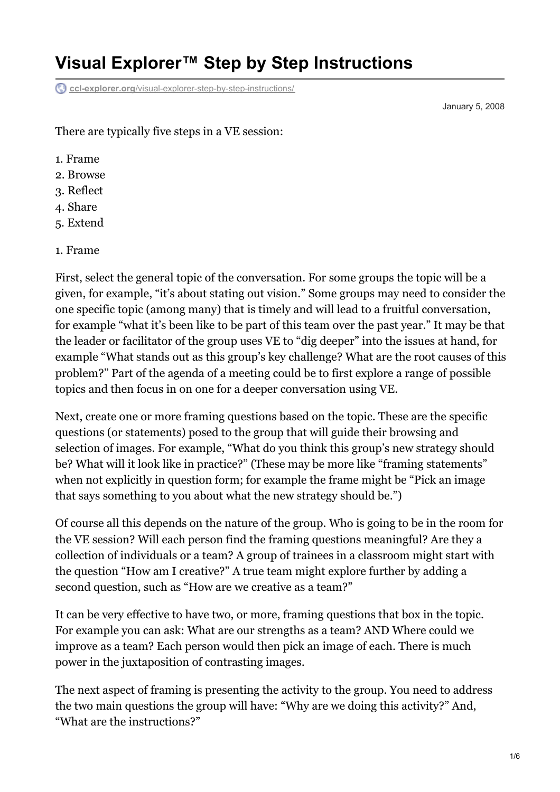# **Visual Explorer™ Step by Step Instructions**

**ccl-explorer.org**[/visual-explorer-step-by-step-instructions/](https://ccl-explorer.org/visual-explorer-step-by-step-instructions/)

January 5, 2008

There are typically five steps in a VE session:

- 1. Frame
- 2. Browse
- 3. Reflect
- 4. Share
- 5. Extend

#### 1. Frame

First, select the general topic of the conversation. For some groups the topic will be a given, for example, "it's about stating out vision." Some groups may need to consider the one specific topic (among many) that is timely and will lead to a fruitful conversation, for example "what it's been like to be part of this team over the past year." It may be that the leader or facilitator of the group uses VE to "dig deeper" into the issues at hand, for example "What stands out as this group's key challenge? What are the root causes of this problem?" Part of the agenda of a meeting could be to first explore a range of possible topics and then focus in on one for a deeper conversation using VE.

Next, create one or more framing questions based on the topic. These are the specific questions (or statements) posed to the group that will guide their browsing and selection of images. For example, "What do you think this group's new strategy should be? What will it look like in practice?" (These may be more like "framing statements" when not explicitly in question form; for example the frame might be "Pick an image that says something to you about what the new strategy should be.")

Of course all this depends on the nature of the group. Who is going to be in the room for the VE session? Will each person find the framing questions meaningful? Are they a collection of individuals or a team? A group of trainees in a classroom might start with the question "How am I creative?" A true team might explore further by adding a second question, such as "How are we creative as a team?"

It can be very effective to have two, or more, framing questions that box in the topic. For example you can ask: What are our strengths as a team? AND Where could we improve as a team? Each person would then pick an image of each. There is much power in the juxtaposition of contrasting images.

The next aspect of framing is presenting the activity to the group. You need to address the two main questions the group will have: "Why are we doing this activity?" And, "What are the instructions?"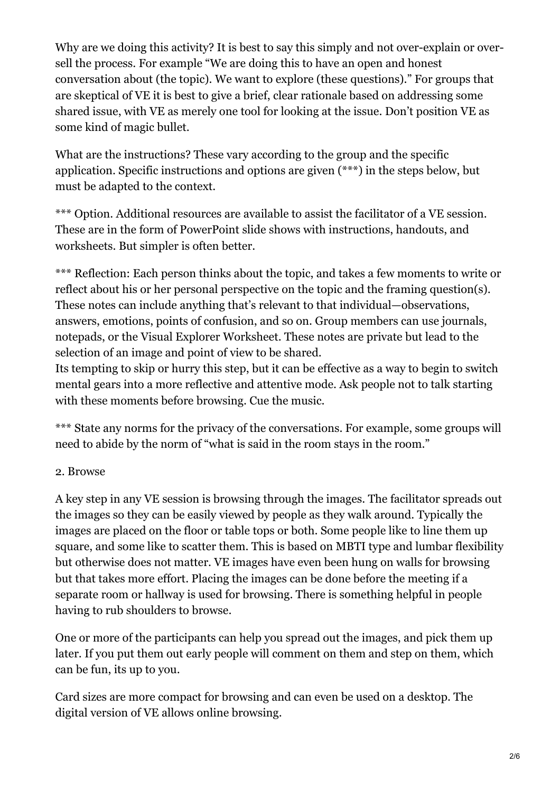Why are we doing this activity? It is best to say this simply and not over-explain or oversell the process. For example "We are doing this to have an open and honest conversation about (the topic). We want to explore (these questions)." For groups that are skeptical of VE it is best to give a brief, clear rationale based on addressing some shared issue, with VE as merely one tool for looking at the issue. Don't position VE as some kind of magic bullet.

What are the instructions? These vary according to the group and the specific application. Specific instructions and options are given (\*\*\*) in the steps below, but must be adapted to the context.

\*\*\* Option. Additional resources are available to assist the facilitator of a VE session. These are in the form of PowerPoint slide shows with instructions, handouts, and worksheets. But simpler is often better.

\*\*\* Reflection: Each person thinks about the topic, and takes a few moments to write or reflect about his or her personal perspective on the topic and the framing question(s). These notes can include anything that's relevant to that individual—observations, answers, emotions, points of confusion, and so on. Group members can use journals, notepads, or the Visual Explorer Worksheet. These notes are private but lead to the selection of an image and point of view to be shared.

Its tempting to skip or hurry this step, but it can be effective as a way to begin to switch mental gears into a more reflective and attentive mode. Ask people not to talk starting with these moments before browsing. Cue the music.

\*\*\* State any norms for the privacy of the conversations. For example, some groups will need to abide by the norm of "what is said in the room stays in the room."

## 2. Browse

A key step in any VE session is browsing through the images. The facilitator spreads out the images so they can be easily viewed by people as they walk around. Typically the images are placed on the floor or table tops or both. Some people like to line them up square, and some like to scatter them. This is based on MBTI type and lumbar flexibility but otherwise does not matter. VE images have even been hung on walls for browsing but that takes more effort. Placing the images can be done before the meeting if a separate room or hallway is used for browsing. There is something helpful in people having to rub shoulders to browse.

One or more of the participants can help you spread out the images, and pick them up later. If you put them out early people will comment on them and step on them, which can be fun, its up to you.

Card sizes are more compact for browsing and can even be used on a desktop. The digital version of VE allows online browsing.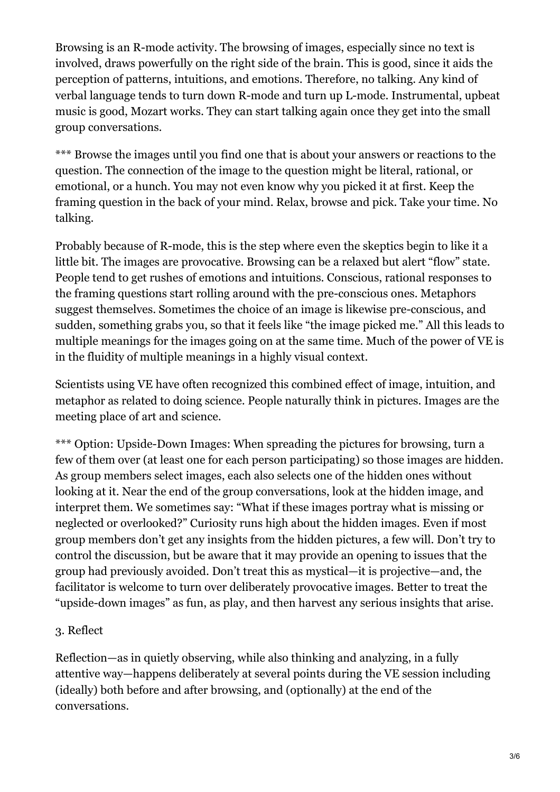Browsing is an R-mode activity. The browsing of images, especially since no text is involved, draws powerfully on the right side of the brain. This is good, since it aids the perception of patterns, intuitions, and emotions. Therefore, no talking. Any kind of verbal language tends to turn down R-mode and turn up L-mode. Instrumental, upbeat music is good, Mozart works. They can start talking again once they get into the small group conversations.

\*\*\* Browse the images until you find one that is about your answers or reactions to the question. The connection of the image to the question might be literal, rational, or emotional, or a hunch. You may not even know why you picked it at first. Keep the framing question in the back of your mind. Relax, browse and pick. Take your time. No talking.

Probably because of R-mode, this is the step where even the skeptics begin to like it a little bit. The images are provocative. Browsing can be a relaxed but alert "flow" state. People tend to get rushes of emotions and intuitions. Conscious, rational responses to the framing questions start rolling around with the pre-conscious ones. Metaphors suggest themselves. Sometimes the choice of an image is likewise pre-conscious, and sudden, something grabs you, so that it feels like "the image picked me." All this leads to multiple meanings for the images going on at the same time. Much of the power of VE is in the fluidity of multiple meanings in a highly visual context.

Scientists using VE have often recognized this combined effect of image, intuition, and metaphor as related to doing science. People naturally think in pictures. Images are the meeting place of art and science.

\*\*\* Option: Upside-Down Images: When spreading the pictures for browsing, turn a few of them over (at least one for each person participating) so those images are hidden. As group members select images, each also selects one of the hidden ones without looking at it. Near the end of the group conversations, look at the hidden image, and interpret them. We sometimes say: "What if these images portray what is missing or neglected or overlooked?" Curiosity runs high about the hidden images. Even if most group members don't get any insights from the hidden pictures, a few will. Don't try to control the discussion, but be aware that it may provide an opening to issues that the group had previously avoided. Don't treat this as mystical—it is projective—and, the facilitator is welcome to turn over deliberately provocative images. Better to treat the "upside-down images" as fun, as play, and then harvest any serious insights that arise.

## 3. Reflect

Reflection—as in quietly observing, while also thinking and analyzing, in a fully attentive way—happens deliberately at several points during the VE session including (ideally) both before and after browsing, and (optionally) at the end of the conversations.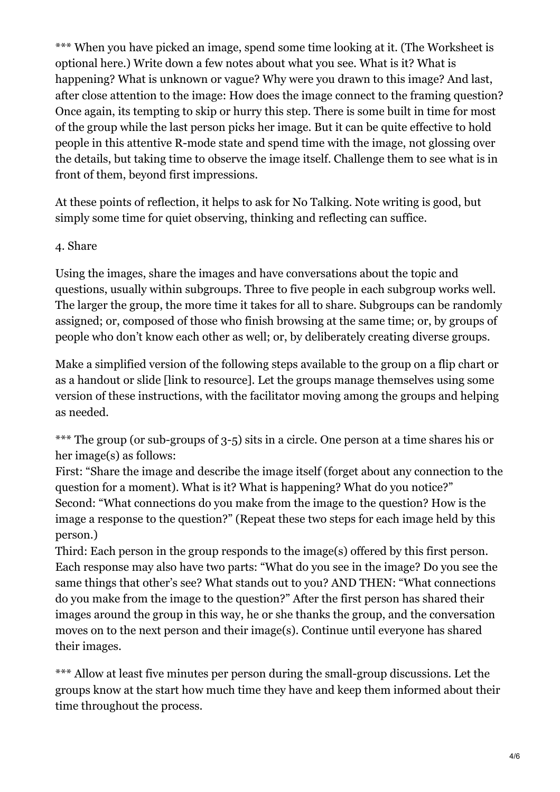\*\*\* When you have picked an image, spend some time looking at it. (The Worksheet is optional here.) Write down a few notes about what you see. What is it? What is happening? What is unknown or vague? Why were you drawn to this image? And last, after close attention to the image: How does the image connect to the framing question? Once again, its tempting to skip or hurry this step. There is some built in time for most of the group while the last person picks her image. But it can be quite effective to hold people in this attentive R-mode state and spend time with the image, not glossing over the details, but taking time to observe the image itself. Challenge them to see what is in front of them, beyond first impressions.

At these points of reflection, it helps to ask for No Talking. Note writing is good, but simply some time for quiet observing, thinking and reflecting can suffice.

#### 4. Share

Using the images, share the images and have conversations about the topic and questions, usually within subgroups. Three to five people in each subgroup works well. The larger the group, the more time it takes for all to share. Subgroups can be randomly assigned; or, composed of those who finish browsing at the same time; or, by groups of people who don't know each other as well; or, by deliberately creating diverse groups.

Make a simplified version of the following steps available to the group on a flip chart or as a handout or slide [link to resource]. Let the groups manage themselves using some version of these instructions, with the facilitator moving among the groups and helping as needed.

\*\*\* The group (or sub-groups of 3-5) sits in a circle. One person at a time shares his or her image(s) as follows:

First: "Share the image and describe the image itself (forget about any connection to the question for a moment). What is it? What is happening? What do you notice?" Second: "What connections do you make from the image to the question? How is the image a response to the question?" (Repeat these two steps for each image held by this person.)

Third: Each person in the group responds to the image(s) offered by this first person. Each response may also have two parts: "What do you see in the image? Do you see the same things that other's see? What stands out to you? AND THEN: "What connections do you make from the image to the question?" After the first person has shared their images around the group in this way, he or she thanks the group, and the conversation moves on to the next person and their image(s). Continue until everyone has shared their images.

\*\*\* Allow at least five minutes per person during the small-group discussions. Let the groups know at the start how much time they have and keep them informed about their time throughout the process.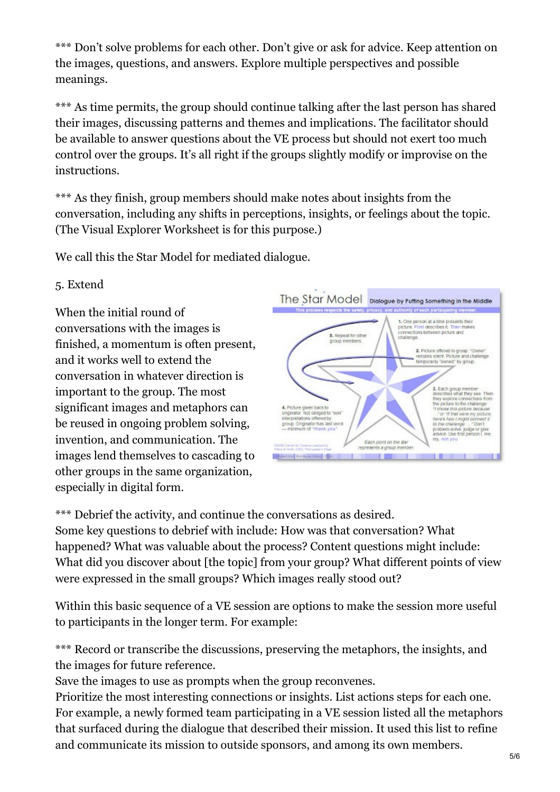\*\*\* Don't solve problems for each other. Don't give or ask for advice. Keep attention on the images, questions, and answers. Explore multiple perspectives and possible meanings.

\*\*\* As time permits, the group should continue talking after the last person has shared their images, discussing patterns and themes and implications. The facilitator should be available to answer questions about the VE process but should not exert too much control over the groups. It's all right if the groups slightly modify or improvise on the instructions.

\*\*\* As they finish, group members should make notes about insights from the conversation, including any shifts in perceptions, insights, or feelings about the topic. (The Visual Explorer Worksheet is for this purpose.)

We call this the Star Model for mediated dialogue.

## 5. Extend

When the initial round of conversations with the images is finished, a momentum is often present, and it works well to extend the conversation in whatever direction is important to the group. The most significant images and metaphors can be reused in ongoing problem solving, invention, and communication. The images lend themselves to cascading to other groups in the same organization, especially in digital form.



\*\*\* Debrief the activity, and continue the conversations as desired. Some key questions to debrief with include: How was that conversation? What happened? What was valuable about the process? Content questions might include: What did you discover about [the topic] from your group? What different points of view were expressed in the small groups? Which images really stood out?

Within this basic sequence of a VE session are options to make the session more useful to participants in the longer term. For example:

\*\*\* Record or transcribe the discussions, preserving the metaphors, the insights, and the images for future reference.

Save the images to use as prompts when the group reconvenes.

Prioritize the most interesting connections or insights. List actions steps for each one. For example, a newly formed team participating in a VE session listed all the metaphors that surfaced during the dialogue that described their mission. It used this list to refine and communicate its mission to outside sponsors, and among its own members.